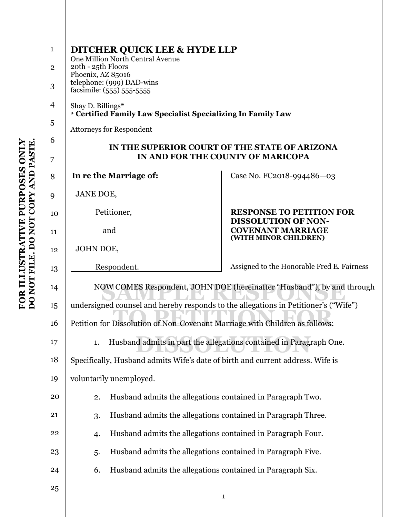| $\mathbf{1}$ | <b>DITCHER QUICK LEE &amp; HYDE LLP</b><br>One Million North Central Avenue<br>20th - 25th Floors<br>Phoenix, AZ 85016 |                                                               |  |  |
|--------------|------------------------------------------------------------------------------------------------------------------------|---------------------------------------------------------------|--|--|
| $\mathbf{2}$ |                                                                                                                        |                                                               |  |  |
| 3            | telephone: (999) DAD-wins<br>facsimile: (555) 555-5555                                                                 |                                                               |  |  |
| 4            | Shay D. Billings*<br>* Certified Family Law Specialist Specializing In Family Law                                      |                                                               |  |  |
| 5            | <b>Attorneys for Respondent</b>                                                                                        |                                                               |  |  |
| 6            | IN THE SUPERIOR COURT OF THE STATE OF ARIZONA                                                                          |                                                               |  |  |
| 7            | IN AND FOR THE COUNTY OF MARICOPA                                                                                      |                                                               |  |  |
| 8            | In re the Marriage of:                                                                                                 | Case No. FC2018-994486-03                                     |  |  |
| 9            | JANE DOE,                                                                                                              |                                                               |  |  |
| 10           | Petitioner,                                                                                                            | <b>RESPONSE TO PETITION FOR</b><br><b>DISSOLUTION OF NON-</b> |  |  |
| 11           | and                                                                                                                    | <b>COVENANT MARRIAGE</b><br>(WITH MINOR CHILDREN)             |  |  |
| 12           | JOHN DOE,                                                                                                              |                                                               |  |  |
| 13           | Respondent.                                                                                                            | Assigned to the Honorable Fred E. Fairness                    |  |  |
| 14           | NOW COMES Respondent, JOHN DOE (hereinafter "Husband"), by and through                                                 |                                                               |  |  |
| 15           | undersigned counsel and hereby responds to the allegations in Petitioner's ("Wife")                                    |                                                               |  |  |
| 16           | Petition for Dissolution of Non-Covenant Marriage with Children as follows:                                            |                                                               |  |  |
| 17           | Husband admits in part the allegations contained in Paragraph One.<br>1.                                               |                                                               |  |  |
| 18           | Specifically, Husband admits Wife's date of birth and current address. Wife is                                         |                                                               |  |  |
| 19           | voluntarily unemployed.                                                                                                |                                                               |  |  |
| 20           | Husband admits the allegations contained in Paragraph Two.<br>2.                                                       |                                                               |  |  |
| 21           | Husband admits the allegations contained in Paragraph Three.<br>3.                                                     |                                                               |  |  |
| 22           | Husband admits the allegations contained in Paragraph Four.<br>4.                                                      |                                                               |  |  |
| 23           | Husband admits the allegations contained in Paragraph Five.<br>5.                                                      |                                                               |  |  |
| 24           | Husband admits the allegations contained in Paragraph Six.<br>6.                                                       |                                                               |  |  |
| 25           |                                                                                                                        | $\mathbf{1}$                                                  |  |  |
|              |                                                                                                                        |                                                               |  |  |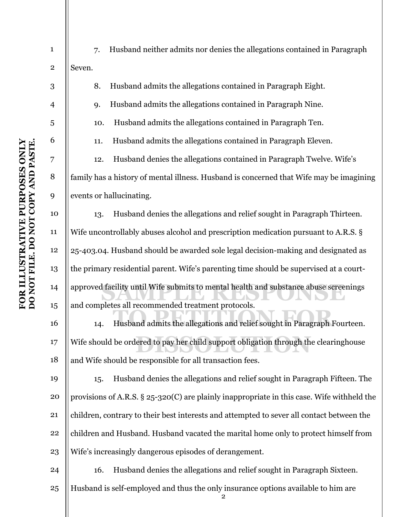| $\mathbf{1}$   | Husband neither admits nor denies the allegations contained in Paragraph<br>7.                |  |
|----------------|-----------------------------------------------------------------------------------------------|--|
| $\mathbf{2}$   | Seven.                                                                                        |  |
| 3              | Husband admits the allegations contained in Paragraph Eight.<br>8.                            |  |
| $\overline{4}$ | Husband admits the allegations contained in Paragraph Nine.<br>9.                             |  |
| 5              | Husband admits the allegations contained in Paragraph Ten.<br>10.                             |  |
| 6              | Husband admits the allegations contained in Paragraph Eleven.<br>11.                          |  |
| 7              | Husband denies the allegations contained in Paragraph Twelve. Wife's<br>12.                   |  |
| 8              | family has a history of mental illness. Husband is concerned that Wife may be imagining       |  |
| 9              | events or hallucinating.                                                                      |  |
| 10             | Husband denies the allegations and relief sought in Paragraph Thirteen.<br>13.                |  |
| 11             | Wife uncontrollably abuses alcohol and prescription medication pursuant to A.R.S. §           |  |
| 12             | 25-403.04. Husband should be awarded sole legal decision-making and designated as             |  |
| 13             | the primary residential parent. Wife's parenting time should be supervised at a court-        |  |
| 14             | approved facility until Wife submits to mental health and substance abuse screenings          |  |
| 15             | and completes all recommended treatment protocols.                                            |  |
| 16             | Husband admits the allegations and relief sought in Paragraph Fourteen.<br>14.                |  |
| 17             | Wife should be ordered to pay her child support obligation through the clearinghouse          |  |
| 18             | and Wife should be responsible for all transaction fees.                                      |  |
| 19             | Husband denies the allegations and relief sought in Paragraph Fifteen. The<br>15.             |  |
| 20             | provisions of A.R.S. $\S 25-320(C)$ are plainly inappropriate in this case. Wife withheld the |  |
| 21             | children, contrary to their best interests and attempted to sever all contact between the     |  |
| 22             | children and Husband. Husband vacated the marital home only to protect himself from           |  |
| 23             | Wife's increasingly dangerous episodes of derangement.                                        |  |
| 24             | Husband denies the allegations and relief sought in Paragraph Sixteen.<br>16.                 |  |
| 25             | Husband is self-employed and thus the only insurance options available to him are             |  |
|                |                                                                                               |  |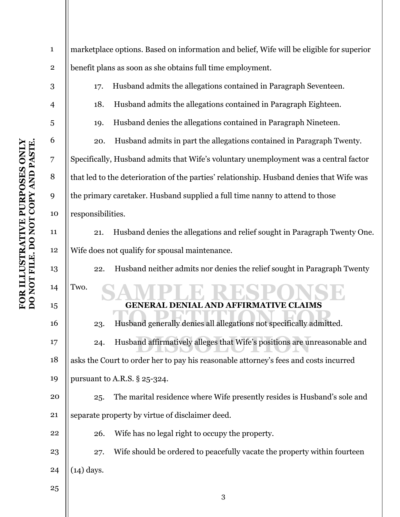| $\mathbf{1}$   | marketplace options. Based on information and belief, Wife will be eligible for superior |  |  |
|----------------|------------------------------------------------------------------------------------------|--|--|
| $\bf 2$        | benefit plans as soon as she obtains full time employment.                               |  |  |
| 3              | Husband admits the allegations contained in Paragraph Seventeen.<br>17.                  |  |  |
| $\overline{4}$ | Husband admits the allegations contained in Paragraph Eighteen.<br>18.                   |  |  |
| 5              | Husband denies the allegations contained in Paragraph Nineteen.<br>19.                   |  |  |
| 6              | Husband admits in part the allegations contained in Paragraph Twenty.<br>20.             |  |  |
| $\overline{7}$ | Specifically, Husband admits that Wife's voluntary unemployment was a central factor     |  |  |
| 8              | that led to the deterioration of the parties' relationship. Husband denies that Wife was |  |  |
| 9              | the primary caretaker. Husband supplied a full time nanny to attend to those             |  |  |
| 10             | responsibilities.                                                                        |  |  |
| 11             | Husband denies the allegations and relief sought in Paragraph Twenty One.<br>21.         |  |  |
| 12             | Wife does not qualify for spousal maintenance.                                           |  |  |
| 13             | Husband neither admits nor denies the relief sought in Paragraph Twenty<br>22.           |  |  |
| 14             | Two.                                                                                     |  |  |
| 15             | <b>VE CLAIMS</b><br><b>GENERAL DENIAL AND AFFIRMATI</b>                                  |  |  |
| 16             | Husband generally denies all allegations not specifically admitted.<br>23.               |  |  |
| 17             | Husband affirmatively alleges that Wife's positions are unreasonable and<br>24.          |  |  |
| 18             | asks the Court to order her to pay his reasonable attorney's fees and costs incurred     |  |  |
| 19             | pursuant to A.R.S. § 25-324.                                                             |  |  |
| 20             | The marital residence where Wife presently resides is Husband's sole and<br>25.          |  |  |
| 21             | separate property by virtue of disclaimer deed.                                          |  |  |
| 22             | Wife has no legal right to occupy the property.<br>26.                                   |  |  |
| 23             | Wife should be ordered to peacefully vacate the property within fourteen<br>27.          |  |  |
| 24             | $(14)$ days.                                                                             |  |  |
| 25             |                                                                                          |  |  |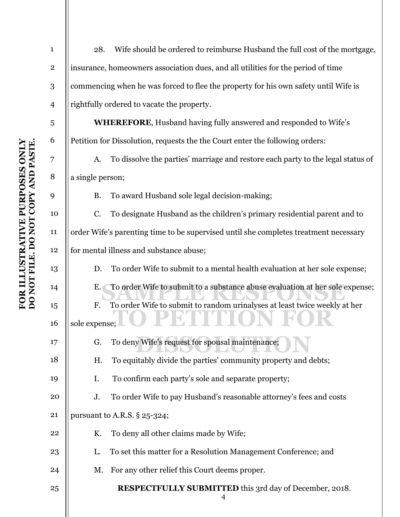| $\mathbf{1}$   | 28.                                                                                  | Wife should be ordered to reimburse Husband the full cost of the mortgage,      |  |
|----------------|--------------------------------------------------------------------------------------|---------------------------------------------------------------------------------|--|
| $\mathbf 2$    | insurance, homeowners association dues, and all utilities for the period of time     |                                                                                 |  |
| 3              | commencing when he was forced to flee the property for his own safety until Wife is  |                                                                                 |  |
| $\overline{4}$ | rightfully ordered to vacate the property.                                           |                                                                                 |  |
| 5              |                                                                                      | <b>WHEREFORE, Husband having fully answered and responded to Wife's</b>         |  |
| 6              | Petition for Dissolution, requests the the Court enter the following orders:         |                                                                                 |  |
| 7              | A.                                                                                   | To dissolve the parties' marriage and restore each party to the legal status of |  |
| 8              | a single person;                                                                     |                                                                                 |  |
| 9              | B.                                                                                   | To award Husband sole legal decision-making;                                    |  |
| 10             | C.                                                                                   | To designate Husband as the children's primary residential parent and to        |  |
| 11             | order Wife's parenting time to be supervised until she completes treatment necessary |                                                                                 |  |
| 12             | for mental illness and substance abuse;                                              |                                                                                 |  |
| 13             | D.                                                                                   | To order Wife to submit to a mental health evaluation at her sole expense;      |  |
| 14             | To order Wife to submit to a substance abuse evaluation at her sole expense;<br>Ε.   |                                                                                 |  |
| 15             | $F_{\cdot}$                                                                          | To order Wife to submit to random urinalyses at least twice weekly at her       |  |
| 16             | sole expense;                                                                        |                                                                                 |  |
| 17             | G.                                                                                   | To deny Wife's request for spousal maintenance;                                 |  |
| 18             | Η.                                                                                   | To equitably divide the parties' community property and debts;                  |  |
| 19             | Ι.                                                                                   | To confirm each party's sole and separate property;                             |  |
| 20             | J.                                                                                   | To order Wife to pay Husband's reasonable attorney's fees and costs             |  |
| 21             | pursuant to A.R.S. § 25-324;                                                         |                                                                                 |  |
| 22             | K.                                                                                   | To deny all other claims made by Wife;                                          |  |
| 23             | L.                                                                                   | To set this matter for a Resolution Management Conference; and                  |  |
| 24             | М.                                                                                   | For any other relief this Court deems proper.                                   |  |
| 25             |                                                                                      | <b>RESPECTFULLY SUBMITTED</b> this 3rd day of December, 2018.<br>4              |  |
|                |                                                                                      |                                                                                 |  |